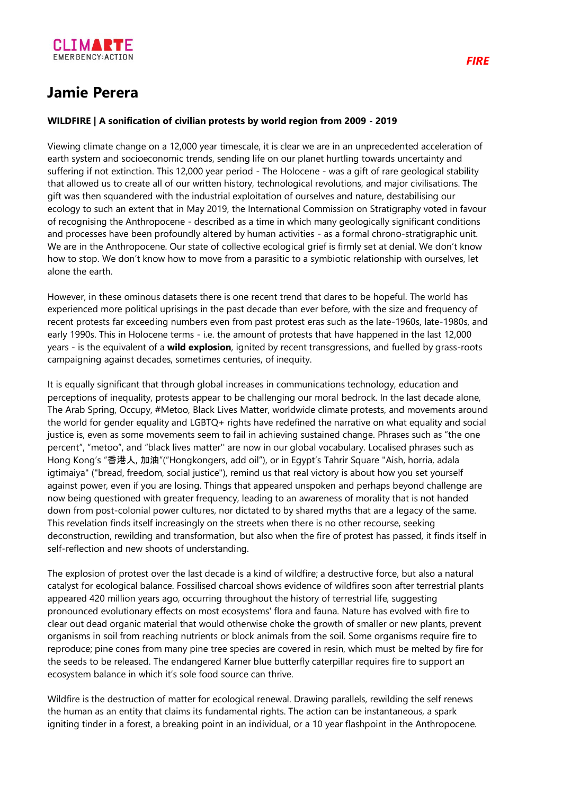

## **Jamie Perera**

## **WILDFIRE | A sonification of civilian protests by world region from 2009 - 2019**

Viewing climate change on a 12,000 year timescale, it is clear we are in an unprecedented acceleration of earth system and socioeconomic trends, sending life on our planet hurtling towards uncertainty and suffering if not extinction. This 12,000 year period - The Holocene - was a gift of rare geological stability that allowed us to create all of our written history, technological revolutions, and major civilisations. The gift was then squandered with the industrial exploitation of ourselves and nature, destabilising our ecology to such an extent that in May 2019, the International Commission on Stratigraphy voted in favour of recognising the Anthropocene - described as a time in which many geologically significant conditions and processes have been profoundly altered by human activities - as a formal chrono-stratigraphic unit. We are in the Anthropocene. Our state of collective ecological grief is firmly set at denial. We don't know how to stop. We don't know how to move from a parasitic to a symbiotic relationship with ourselves, let alone the earth.

However, in these ominous datasets there is one recent trend that dares to be hopeful. The world has experienced more political uprisings in the past decade than ever before, with the size and frequency of recent protests far exceeding numbers even from past protest eras such as the late-1960s, late-1980s, and early 1990s. This in Holocene terms - i.e. the amount of protests that have happened in the last 12,000 years - is the equivalent of a **wild explosion**, ignited by recent transgressions, and fuelled by grass-roots campaigning against decades, sometimes centuries, of inequity.

It is equally significant that through global increases in communications technology, education and perceptions of inequality, protests appear to be challenging our moral bedrock. In the last decade alone, The Arab Spring, Occupy, #Metoo, Black Lives Matter, worldwide climate protests, and movements around the world for gender equality and LGBTQ+ rights have redefined the narrative on what equality and social justice is, even as some movements seem to fail in achieving sustained change. Phrases such as "the one percent", "metoo", and "black lives matter'' are now in our global vocabulary. Localised phrases such as Hong Kong's "香港人, 加油"("Hongkongers, add oil"), or in Egypt's Tahrir Square "Aish, horria, adala igtimaiya" ("bread, freedom, social justice"), remind us that real victory is about how you set yourself against power, even if you are losing. Things that appeared unspoken and perhaps beyond challenge are now being questioned with greater frequency, leading to an awareness of morality that is not handed down from post-colonial power cultures, nor dictated to by shared myths that are a legacy of the same. This revelation finds itself increasingly on the streets when there is no other recourse, seeking deconstruction, rewilding and transformation, but also when the fire of protest has passed, it finds itself in self-reflection and new shoots of understanding.

The explosion of protest over the last decade is a kind of wildfire; a destructive force, but also a natural catalyst for ecological balance. Fossilised charcoal shows evidence of wildfires soon after terrestrial plants appeared 420 million years ago, occurring throughout the history of terrestrial life, suggesting pronounced evolutionary effects on most ecosystems' flora and fauna. Nature has evolved with fire to clear out dead organic material that would otherwise choke the growth of smaller or new plants, prevent organisms in soil from reaching nutrients or block animals from the soil. Some organisms require fire to reproduce; pine cones from many pine tree species are covered in resin, which must be melted by fire for the seeds to be released. The endangered Karner blue butterfly caterpillar requires fire to support an ecosystem balance in which it's sole food source can thrive.

Wildfire is the destruction of matter for ecological renewal. Drawing parallels, rewilding the self renews the human as an entity that claims its fundamental rights. The action can be instantaneous, a spark igniting tinder in a forest, a breaking point in an individual, or a 10 year flashpoint in the Anthropocene.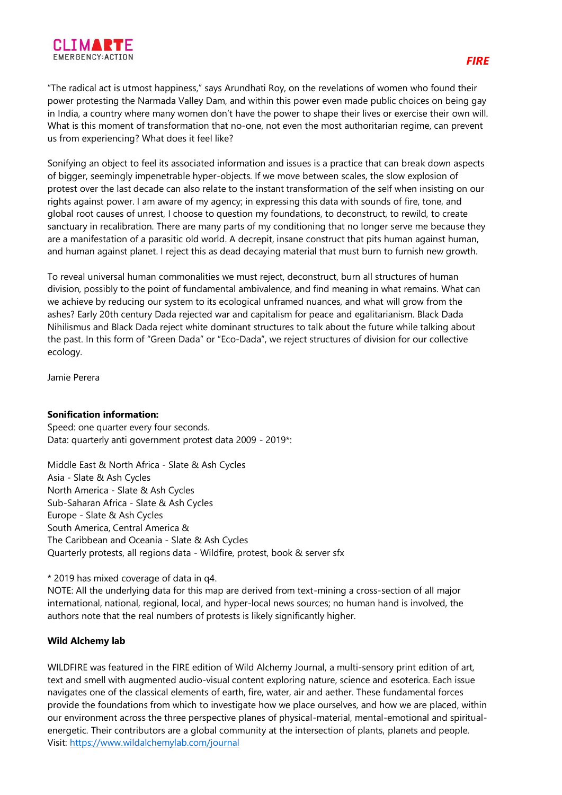

"The radical act is utmost happiness," says Arundhati Roy, on the revelations of women who found their power protesting the Narmada Valley Dam, and within this power even made public choices on being gay in India, a country where many women don't have the power to shape their lives or exercise their own will. What is this moment of transformation that no-one, not even the most authoritarian regime, can prevent us from experiencing? What does it feel like?

Sonifying an object to feel its associated information and issues is a practice that can break down aspects of bigger, seemingly impenetrable hyper-objects. If we move between scales, the slow explosion of protest over the last decade can also relate to the instant transformation of the self when insisting on our rights against power. I am aware of my agency; in expressing this data with sounds of fire, tone, and global root causes of unrest, I choose to question my foundations, to deconstruct, to rewild, to create sanctuary in recalibration. There are many parts of my conditioning that no longer serve me because they are a manifestation of a parasitic old world. A decrepit, insane construct that pits human against human, and human against planet. I reject this as dead decaying material that must burn to furnish new growth.

To reveal universal human commonalities we must reject, deconstruct, burn all structures of human division, possibly to the point of fundamental ambivalence, and find meaning in what remains. What can we achieve by reducing our system to its ecological unframed nuances, and what will grow from the ashes? Early 20th century Dada rejected war and capitalism for peace and egalitarianism. Black Dada Nihilismus and Black Dada reject white dominant structures to talk about the future while talking about the past. In this form of "Green Dada" or "Eco-Dada", we reject structures of division for our collective ecology.

Jamie Perera

## **Sonification information:**

Speed: one quarter every four seconds. Data: quarterly anti government protest data 2009 - 2019\*:

Middle East & North Africa - Slate & Ash Cycles Asia - Slate & Ash Cycles North America - Slate & Ash Cycles Sub-Saharan Africa - Slate & Ash Cycles Europe - Slate & Ash Cycles South America, Central America & The Caribbean and Oceania - Slate & Ash Cycles Quarterly protests, all regions data - Wildfire, protest, book & server sfx

\* 2019 has mixed coverage of data in q4.

NOTE: All the underlying data for this map are derived from text-mining a cross-section of all major international, national, regional, local, and hyper-local news sources; no human hand is involved, the authors note that the real numbers of protests is likely significantly higher.

## **Wild Alchemy lab**

WILDFIRE was featured in the FIRE edition of Wild Alchemy Journal, a multi-sensory print edition of art, text and smell with augmented audio-visual content exploring nature, science and esoterica. Each issue navigates one of the classical elements of earth, fire, water, air and aether. These fundamental forces provide the foundations from which to investigate how we place ourselves, and how we are placed, within our environment across the three perspective planes of physical-material, mental-emotional and spiritualenergetic. Their contributors are a global community at the intersection of plants, planets and people. Visit: <https://www.wildalchemylab.com/journal>